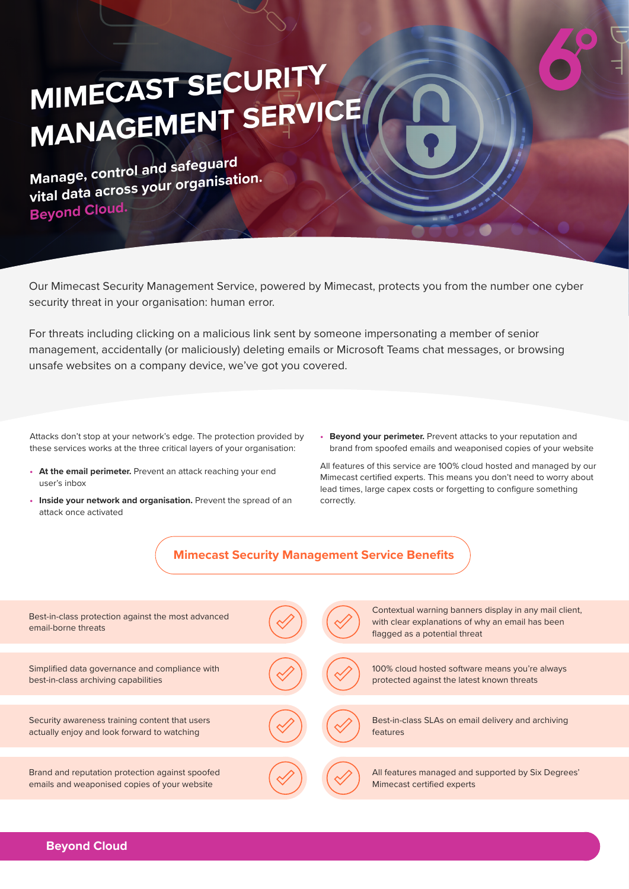## **MIMECAST SECURITY MANAGEMENT SERVICE**

**Manage, control and safeguard vital data across your organisation. Beyond Cloud.**

Our Mimecast Security Management Service, powered by Mimecast, protects you from the number one cyber security threat in your organisation: human error.

For threats including clicking on a malicious link sent by someone impersonating a member of senior management, accidentally (or maliciously) deleting emails or Microsoft Teams chat messages, or browsing unsafe websites on a company device, we've got you covered.

Attacks don't stop at your network's edge. The protection provided by these services works at the three critical layers of your organisation:

- **• At the email perimeter.** Prevent an attack reaching your end user's inbox
- **•** Inside your network and organisation. Prevent the spread of an attack once activated
- **• Beyond your perimeter.** Prevent attacks to your reputation and brand from spoofed emails and weaponised copies of your website

All features of this service are 100% cloud hosted and managed by our Mimecast certified experts. This means you don't need to worry about lead times, large capex costs or forgetting to configure something correctly.



| Best-in-class protection against the most advanced<br>email-borne threats                       |  | Contextual warning banners display in any mail client,<br>with clear explanations of why an email has been<br>flagged as a potential threat |
|-------------------------------------------------------------------------------------------------|--|---------------------------------------------------------------------------------------------------------------------------------------------|
|                                                                                                 |  |                                                                                                                                             |
| Simplified data governance and compliance with<br>best-in-class archiving capabilities          |  | 100% cloud hosted software means you're always<br>protected against the latest known threats                                                |
|                                                                                                 |  |                                                                                                                                             |
| Security awareness training content that users<br>actually enjoy and look forward to watching   |  | Best-in-class SLAs on email delivery and archiving<br>features                                                                              |
|                                                                                                 |  |                                                                                                                                             |
| Brand and reputation protection against spoofed<br>emails and weaponised copies of your website |  | All features managed and supported by Six Degrees'<br>Mimecast certified experts                                                            |